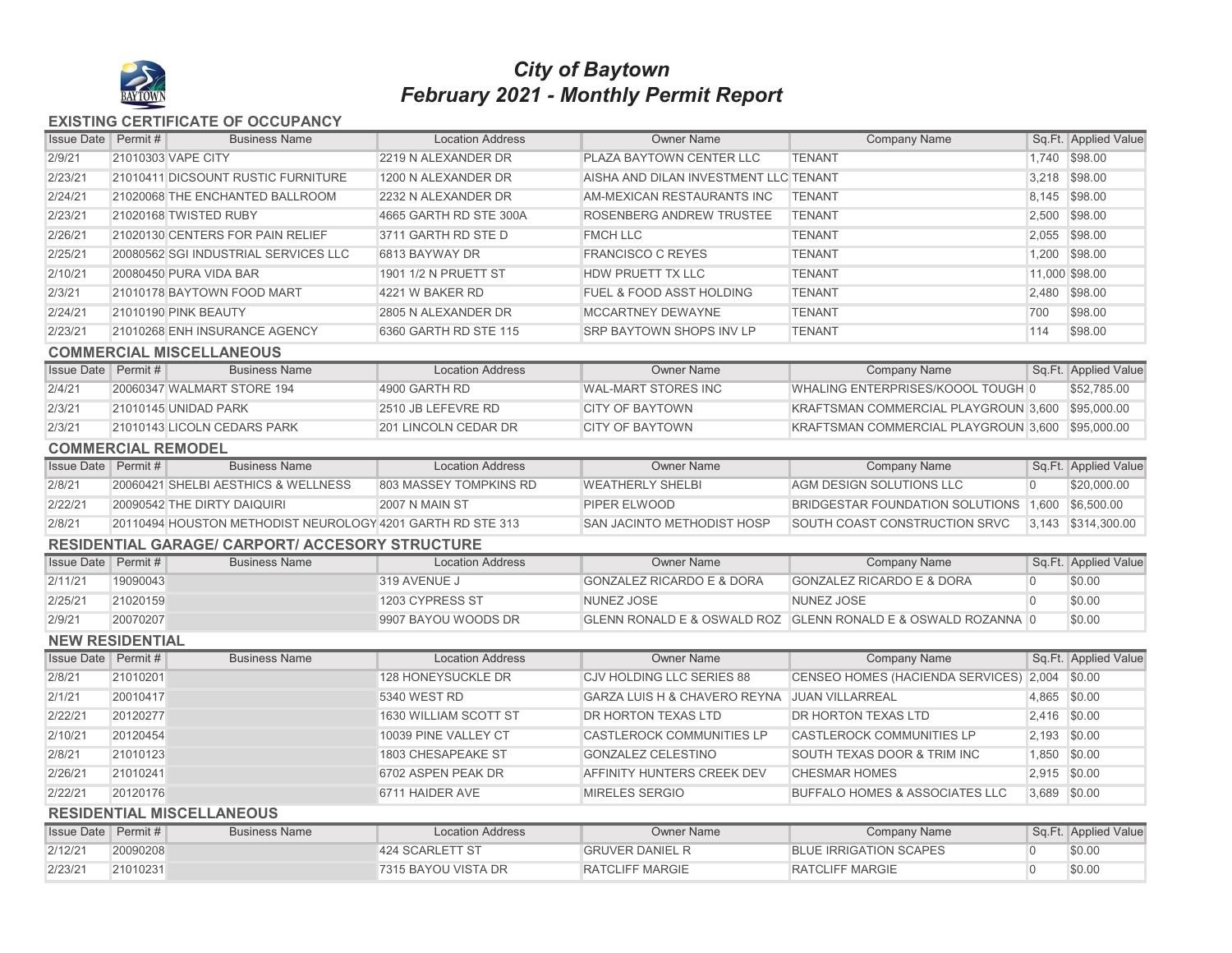

## *February 2021 - Monthly Permit Report City of Baytown*

## **EXISTING CERTIFICATE OF OCCUPANCY**

| <b>Issue Date Permit#</b>        |          | <b>Business Name</b>                                       | <b>Location Address</b> | <b>Owner Name</b>                            | <b>Company Name</b>                                           |                | Sq.Ft. Applied Value |  |  |  |  |
|----------------------------------|----------|------------------------------------------------------------|-------------------------|----------------------------------------------|---------------------------------------------------------------|----------------|----------------------|--|--|--|--|
| 2/9/21                           |          | 21010303 VAPE CITY                                         | 2219 N ALEXANDER DR     | PLAZA BAYTOWN CENTER LLC                     | <b>TENANT</b>                                                 |                | 1,740 \$98.00        |  |  |  |  |
| 2/23/21                          |          | 21010411 DICSOUNT RUSTIC FURNITURE                         | 1200 N ALEXANDER DR     | AISHA AND DILAN INVESTMENT LLC TENANT        |                                                               |                | 3,218 \$98.00        |  |  |  |  |
| 2/24/21                          |          | 21020068 THE ENCHANTED BALLROOM                            | 2232 N ALEXANDER DR     | AM-MEXICAN RESTAURANTS INC                   | <b>TENANT</b>                                                 |                | 8,145 \$98.00        |  |  |  |  |
| 2/23/21                          |          | 21020168 TWISTED RUBY                                      | 4665 GARTH RD STE 300A  | <b>ROSENBERG ANDREW TRUSTEE</b>              | <b>TENANT</b>                                                 |                | 2,500 \$98.00        |  |  |  |  |
| 2/26/21                          |          | 21020130 CENTERS FOR PAIN RELIEF                           | 3711 GARTH RD STE D     | <b>FMCH LLC</b>                              | <b>TENANT</b>                                                 |                | 2,055 \$98.00        |  |  |  |  |
| 2/25/21                          |          | 20080562 SGI INDUSTRIAL SERVICES LLC                       | 6813 BAYWAY DR          | <b>FRANCISCO C REYES</b>                     | <b>TENANT</b>                                                 |                | 1,200 \$98.00        |  |  |  |  |
| 2/10/21                          |          | 20080450 PURA VIDA BAR                                     | 1901 1/2 N PRUETT ST    | <b>HDW PRUETT TX LLC</b>                     | <b>TENANT</b>                                                 |                | 11,000 \$98.00       |  |  |  |  |
| 2/3/21                           |          | 21010178 BAYTOWN FOOD MART                                 | 4221 W BAKER RD         | <b>FUEL &amp; FOOD ASST HOLDING</b>          | <b>TENANT</b>                                                 |                | 2,480 \$98.00        |  |  |  |  |
| 2/24/21                          |          | 21010190 PINK BEAUTY                                       | 2805 N ALEXANDER DR     | <b>MCCARTNEY DEWAYNE</b>                     | <b>TENANT</b>                                                 | 700            | \$98.00              |  |  |  |  |
| 2/23/21                          |          | 21010268 ENH INSURANCE AGENCY                              | 6360 GARTH RD STE 115   | <b>SRP BAYTOWN SHOPS INV LP</b>              | <b>TENANT</b>                                                 | 114            | \$98.00              |  |  |  |  |
|                                  |          | <b>COMMERCIAL MISCELLANEOUS</b>                            |                         |                                              |                                                               |                |                      |  |  |  |  |
| <b>Issue Date</b> Permit #       |          | <b>Business Name</b>                                       | <b>Location Address</b> | <b>Owner Name</b>                            | <b>Company Name</b>                                           |                | Sq.Ft. Applied Value |  |  |  |  |
| 2/4/21                           |          | 20060347 WALMART STORE 194                                 | 4900 GARTH RD           | <b>WAL-MART STORES INC</b>                   | WHALING ENTERPRISES/KOOOL TOUGH 0                             |                | \$52,785.00          |  |  |  |  |
| 2/3/21                           |          | 21010145 UNIDAD PARK                                       | 2510 JB LEFEVRE RD      | <b>CITY OF BAYTOWN</b>                       | KRAFTSMAN COMMERCIAL PLAYGROUN 3,600                          |                | \$95,000.00          |  |  |  |  |
| 2/3/21                           |          | 21010143 LICOLN CEDARS PARK                                | 201 LINCOLN CEDAR DR    | <b>CITY OF BAYTOWN</b>                       | KRAFTSMAN COMMERCIAL PLAYGROUN 3,600                          |                | \$95,000.00          |  |  |  |  |
| <b>COMMERCIAL REMODEL</b>        |          |                                                            |                         |                                              |                                                               |                |                      |  |  |  |  |
| <b>Issue Date</b> Permit #       |          | <b>Business Name</b>                                       | <b>Location Address</b> | <b>Owner Name</b>                            | <b>Company Name</b>                                           |                | Sq.Ft. Applied Value |  |  |  |  |
| 2/8/21                           |          | 20060421 SHELBI AESTHICS & WELLNESS                        | 803 MASSEY TOMPKINS RD  | <b>WEATHERLY SHELBI</b>                      | AGM DESIGN SOLUTIONS LLC                                      | $\overline{0}$ | \$20,000.00          |  |  |  |  |
| 2/22/21                          |          | 20090542 THE DIRTY DAIQUIRI                                | 2007 N MAIN ST          | PIPER ELWOOD                                 | BRIDGESTAR FOUNDATION SOLUTIONS 1,600 \$6,500.00              |                |                      |  |  |  |  |
| 2/8/21                           |          | 20110494 HOUSTON METHODIST NEUROLOGY 4201 GARTH RD STE 313 |                         | <b>SAN JACINTO METHODIST HOSP</b>            | SOUTH COAST CONSTRUCTION SRVC                                 |                | 3,143 \$314,300.00   |  |  |  |  |
|                                  |          | <b>RESIDENTIAL GARAGE/ CARPORT/ ACCESORY STRUCTURE</b>     |                         |                                              |                                                               |                |                      |  |  |  |  |
| <b>Issue Date</b> Permit#        |          | <b>Business Name</b>                                       | <b>Location Address</b> | <b>Owner Name</b>                            | <b>Company Name</b>                                           |                | Sq.Ft. Applied Value |  |  |  |  |
| 2/11/21                          | 19090043 |                                                            | 319 AVENUE J            | <b>GONZALEZ RICARDO E &amp; DORA</b>         | <b>GONZALEZ RICARDO E &amp; DORA</b>                          | $\overline{0}$ | \$0.00               |  |  |  |  |
| 2/25/21                          | 21020159 |                                                            | 1203 CYPRESS ST         | <b>NUNEZ JOSE</b>                            | <b>NUNEZ JOSE</b>                                             | $\theta$       | \$0.00               |  |  |  |  |
| 2/9/21                           | 20070207 |                                                            | 9907 BAYOU WOODS DR     |                                              | GLENN RONALD E & OSWALD ROZ GLENN RONALD E & OSWALD ROZANNA 0 |                | \$0.00               |  |  |  |  |
| <b>NEW RESIDENTIAL</b>           |          |                                                            |                         |                                              |                                                               |                |                      |  |  |  |  |
| <b>Issue Date</b> Permit#        |          | <b>Business Name</b>                                       | <b>Location Address</b> | <b>Owner Name</b>                            | <b>Company Name</b>                                           |                | Sq.Ft. Applied Value |  |  |  |  |
| 2/8/21                           | 21010201 |                                                            | 128 HONEYSUCKLE DR      | <b>CJV HOLDING LLC SERIES 88</b>             | CENSEO HOMES (HACIENDA SERVICES) 2,004                        |                | \$0.00               |  |  |  |  |
| 2/1/21                           | 20010417 |                                                            | 5340 WEST RD            | GARZA LUIS H & CHAVERO REYNA JUAN VILLARREAL |                                                               | 4,865 \$0.00   |                      |  |  |  |  |
| 2/22/21                          | 20120277 |                                                            | 1630 WILLIAM SCOTT ST   | <b>DR HORTON TEXAS LTD</b>                   | <b>DR HORTON TEXAS LTD</b>                                    | 2,416 \$0.00   |                      |  |  |  |  |
| 2/10/21                          | 20120454 |                                                            | 10039 PINE VALLEY CT    | <b>CASTLEROCK COMMUNITIES LP</b>             | <b>CASTLEROCK COMMUNITIES LP</b>                              | 2,193 \$0.00   |                      |  |  |  |  |
| 2/8/21                           | 21010123 |                                                            | 1803 CHESAPEAKE ST      | <b>GONZALEZ CELESTINO</b>                    | SOUTH TEXAS DOOR & TRIM INC                                   | 1,850 \$0.00   |                      |  |  |  |  |
| 2/26/21                          | 21010241 |                                                            | 6702 ASPEN PEAK DR      | AFFINITY HUNTERS CREEK DEV                   | <b>CHESMAR HOMES</b>                                          | 2,915 \$0.00   |                      |  |  |  |  |
| 2/22/21                          | 20120176 |                                                            | 6711 HAIDER AVE         | <b>MIRELES SERGIO</b>                        | <b>BUFFALO HOMES &amp; ASSOCIATES LLC</b>                     | 3,689 \$0.00   |                      |  |  |  |  |
| <b>RESIDENTIAL MISCELLANEOUS</b> |          |                                                            |                         |                                              |                                                               |                |                      |  |  |  |  |
| <b>Issue Date</b> Permit #       |          | <b>Business Name</b>                                       | <b>Location Address</b> | <b>Owner Name</b>                            | <b>Company Name</b>                                           |                | Sq.Ft. Applied Value |  |  |  |  |
| 2/12/21                          | 20090208 |                                                            | 424 SCARLETT ST         | <b>GRUVER DANIEL R</b>                       | <b>BLUE IRRIGATION SCAPES</b>                                 | $\overline{0}$ | \$0.00               |  |  |  |  |
| 2/23/21                          | 21010231 |                                                            | 7315 BAYOU VISTA DR     | <b>RATCLIFF MARGIE</b>                       | <b>RATCLIFF MARGIE</b>                                        | $\overline{0}$ | \$0.00               |  |  |  |  |